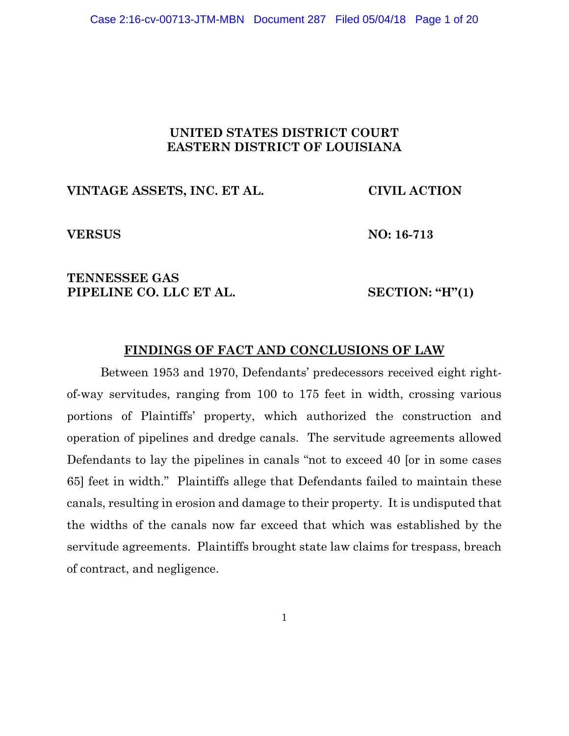# **UNITED STATES DISTRICT COURT EASTERN DISTRICT OF LOUISIANA**

## **VINTAGE ASSETS, INC. ET AL. CIVIL ACTION**

**VERSUS NO: 16-713**

# **TENNESSEE GAS PIPELINE CO. LLC ET AL. SECTION: "H"(1)**

# **FINDINGS OF FACT AND CONCLUSIONS OF LAW**

Between 1953 and 1970, Defendants' predecessors received eight rightof-way servitudes, ranging from 100 to 175 feet in width, crossing various portions of Plaintiffs' property, which authorized the construction and operation of pipelines and dredge canals. The servitude agreements allowed Defendants to lay the pipelines in canals "not to exceed 40 [or in some cases 65] feet in width." Plaintiffs allege that Defendants failed to maintain these canals, resulting in erosion and damage to their property. It is undisputed that the widths of the canals now far exceed that which was established by the servitude agreements. Plaintiffs brought state law claims for trespass, breach of contract, and negligence.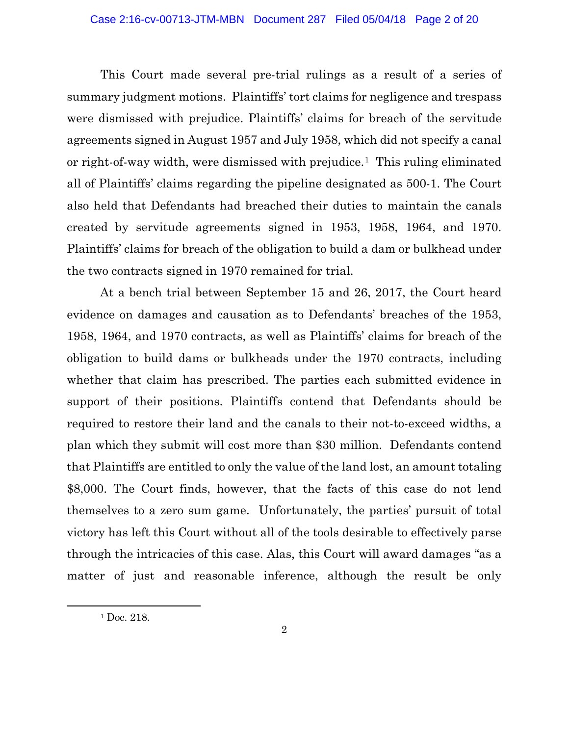This Court made several pre-trial rulings as a result of a series of summary judgment motions. Plaintiffs' tort claims for negligence and trespass were dismissed with prejudice. Plaintiffs' claims for breach of the servitude agreements signed in August 1957 and July 1958, which did not specify a canal or right-of-way width, were dismissed with prejudice.1 This ruling eliminated all of Plaintiffs' claims regarding the pipeline designated as 500-1. The Court also held that Defendants had breached their duties to maintain the canals created by servitude agreements signed in 1953, 1958, 1964, and 1970. Plaintiffs' claims for breach of the obligation to build a dam or bulkhead under the two contracts signed in 1970 remained for trial.

At a bench trial between September 15 and 26, 2017, the Court heard evidence on damages and causation as to Defendants' breaches of the 1953, 1958, 1964, and 1970 contracts, as well as Plaintiffs' claims for breach of the obligation to build dams or bulkheads under the 1970 contracts, including whether that claim has prescribed. The parties each submitted evidence in support of their positions. Plaintiffs contend that Defendants should be required to restore their land and the canals to their not-to-exceed widths, a plan which they submit will cost more than \$30 million. Defendants contend that Plaintiffs are entitled to only the value of the land lost, an amount totaling \$8,000. The Court finds, however, that the facts of this case do not lend themselves to a zero sum game. Unfortunately, the parties' pursuit of total victory has left this Court without all of the tools desirable to effectively parse through the intricacies of this case. Alas, this Court will award damages "as a matter of just and reasonable inference, although the result be only

l

<sup>&</sup>lt;sup>1</sup> Doc. 218.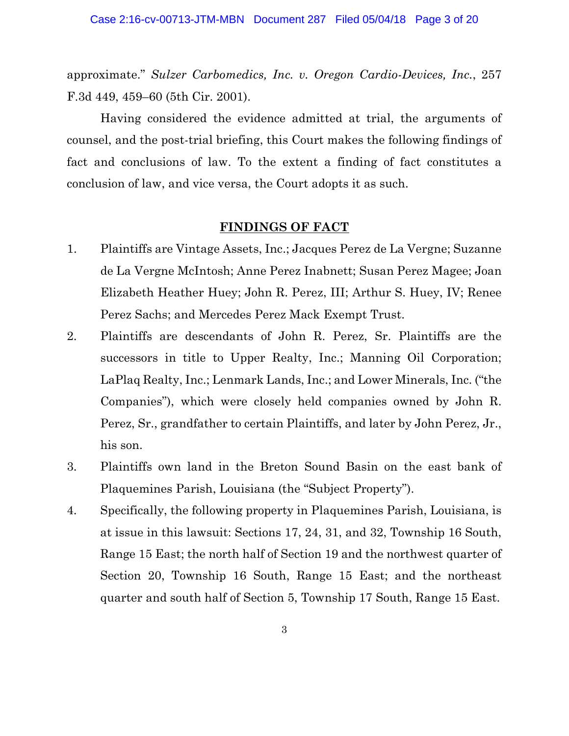approximate." *Sulzer Carbomedics, Inc. v. Oregon Cardio-Devices, Inc.*, 257 F.3d 449, 459–60 (5th Cir. 2001).

Having considered the evidence admitted at trial, the arguments of counsel, and the post-trial briefing, this Court makes the following findings of fact and conclusions of law. To the extent a finding of fact constitutes a conclusion of law, and vice versa, the Court adopts it as such.

#### **FINDINGS OF FACT**

- 1. Plaintiffs are Vintage Assets, Inc.; Jacques Perez de La Vergne; Suzanne de La Vergne McIntosh; Anne Perez Inabnett; Susan Perez Magee; Joan Elizabeth Heather Huey; John R. Perez, III; Arthur S. Huey, IV; Renee Perez Sachs; and Mercedes Perez Mack Exempt Trust.
- 2. Plaintiffs are descendants of John R. Perez, Sr. Plaintiffs are the successors in title to Upper Realty, Inc.; Manning Oil Corporation; LaPlaq Realty, Inc.; Lenmark Lands, Inc.; and Lower Minerals, Inc. ("the Companies"), which were closely held companies owned by John R. Perez, Sr., grandfather to certain Plaintiffs, and later by John Perez, Jr., his son.
- 3. Plaintiffs own land in the Breton Sound Basin on the east bank of Plaquemines Parish, Louisiana (the "Subject Property").
- 4. Specifically, the following property in Plaquemines Parish, Louisiana, is at issue in this lawsuit: Sections 17, 24, 31, and 32, Township 16 South, Range 15 East; the north half of Section 19 and the northwest quarter of Section 20, Township 16 South, Range 15 East; and the northeast quarter and south half of Section 5, Township 17 South, Range 15 East.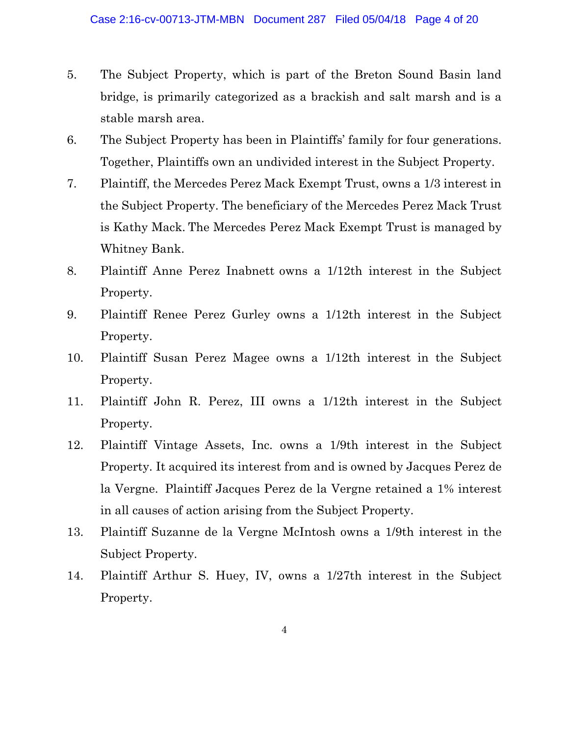- 5. The Subject Property, which is part of the Breton Sound Basin land bridge, is primarily categorized as a brackish and salt marsh and is a stable marsh area.
- 6. The Subject Property has been in Plaintiffs' family for four generations. Together, Plaintiffs own an undivided interest in the Subject Property.
- 7. Plaintiff, the Mercedes Perez Mack Exempt Trust, owns a 1/3 interest in the Subject Property. The beneficiary of the Mercedes Perez Mack Trust is Kathy Mack. The Mercedes Perez Mack Exempt Trust is managed by Whitney Bank.
- 8. Plaintiff Anne Perez Inabnett owns a 1/12th interest in the Subject Property.
- 9. Plaintiff Renee Perez Gurley owns a 1/12th interest in the Subject Property.
- 10. Plaintiff Susan Perez Magee owns a 1/12th interest in the Subject Property.
- 11. Plaintiff John R. Perez, III owns a 1/12th interest in the Subject Property.
- 12. Plaintiff Vintage Assets, Inc. owns a 1/9th interest in the Subject Property. It acquired its interest from and is owned by Jacques Perez de la Vergne. Plaintiff Jacques Perez de la Vergne retained a 1% interest in all causes of action arising from the Subject Property.
- 13. Plaintiff Suzanne de la Vergne McIntosh owns a 1/9th interest in the Subject Property.
- 14. Plaintiff Arthur S. Huey, IV, owns a 1/27th interest in the Subject Property.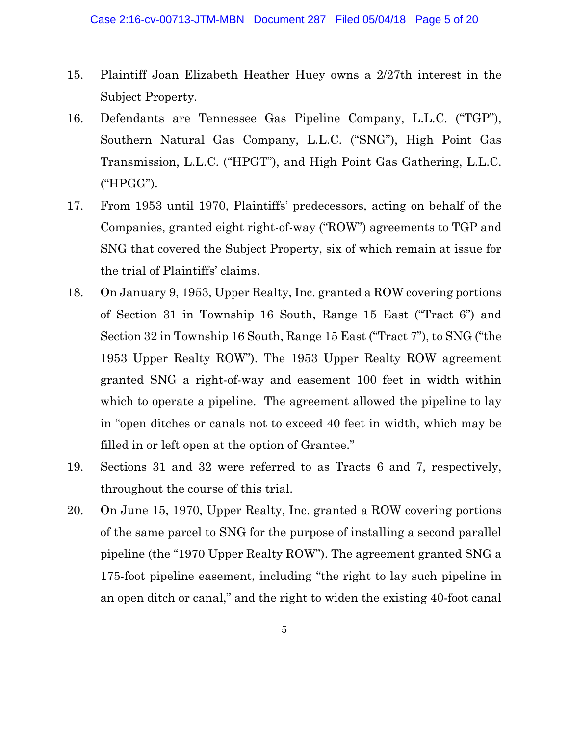- 15. Plaintiff Joan Elizabeth Heather Huey owns a 2/27th interest in the Subject Property.
- 16. Defendants are Tennessee Gas Pipeline Company, L.L.C. ("TGP"), Southern Natural Gas Company, L.L.C. ("SNG"), High Point Gas Transmission, L.L.C. ("HPGT"), and High Point Gas Gathering, L.L.C. ("HPGG").
- 17. From 1953 until 1970, Plaintiffs' predecessors, acting on behalf of the Companies, granted eight right-of-way ("ROW") agreements to TGP and SNG that covered the Subject Property, six of which remain at issue for the trial of Plaintiffs' claims.
- 18. On January 9, 1953, Upper Realty, Inc. granted a ROW covering portions of Section 31 in Township 16 South, Range 15 East ("Tract 6") and Section 32 in Township 16 South, Range 15 East ("Tract 7"), to SNG ("the 1953 Upper Realty ROW"). The 1953 Upper Realty ROW agreement granted SNG a right-of-way and easement 100 feet in width within which to operate a pipeline. The agreement allowed the pipeline to lay in "open ditches or canals not to exceed 40 feet in width, which may be filled in or left open at the option of Grantee."
- 19. Sections 31 and 32 were referred to as Tracts 6 and 7, respectively, throughout the course of this trial.
- 20. On June 15, 1970, Upper Realty, Inc. granted a ROW covering portions of the same parcel to SNG for the purpose of installing a second parallel pipeline (the "1970 Upper Realty ROW"). The agreement granted SNG a 175-foot pipeline easement, including "the right to lay such pipeline in an open ditch or canal," and the right to widen the existing 40-foot canal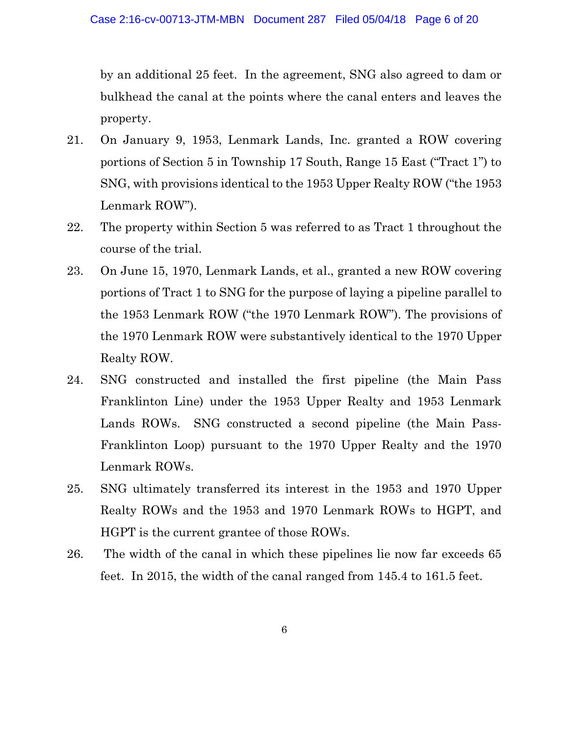by an additional 25 feet. In the agreement, SNG also agreed to dam or bulkhead the canal at the points where the canal enters and leaves the property.

- 21. On January 9, 1953, Lenmark Lands, Inc. granted a ROW covering portions of Section 5 in Township 17 South, Range 15 East ("Tract 1") to SNG, with provisions identical to the 1953 Upper Realty ROW ("the 1953 Lenmark ROW").
- 22. The property within Section 5 was referred to as Tract 1 throughout the course of the trial.
- 23. On June 15, 1970, Lenmark Lands, et al., granted a new ROW covering portions of Tract 1 to SNG for the purpose of laying a pipeline parallel to the 1953 Lenmark ROW ("the 1970 Lenmark ROW"). The provisions of the 1970 Lenmark ROW were substantively identical to the 1970 Upper Realty ROW.
- 24. SNG constructed and installed the first pipeline (the Main Pass Franklinton Line) under the 1953 Upper Realty and 1953 Lenmark Lands ROWs. SNG constructed a second pipeline (the Main Pass-Franklinton Loop) pursuant to the 1970 Upper Realty and the 1970 Lenmark ROWs.
- 25. SNG ultimately transferred its interest in the 1953 and 1970 Upper Realty ROWs and the 1953 and 1970 Lenmark ROWs to HGPT, and HGPT is the current grantee of those ROWs.
- 26. The width of the canal in which these pipelines lie now far exceeds 65 feet. In 2015, the width of the canal ranged from 145.4 to 161.5 feet.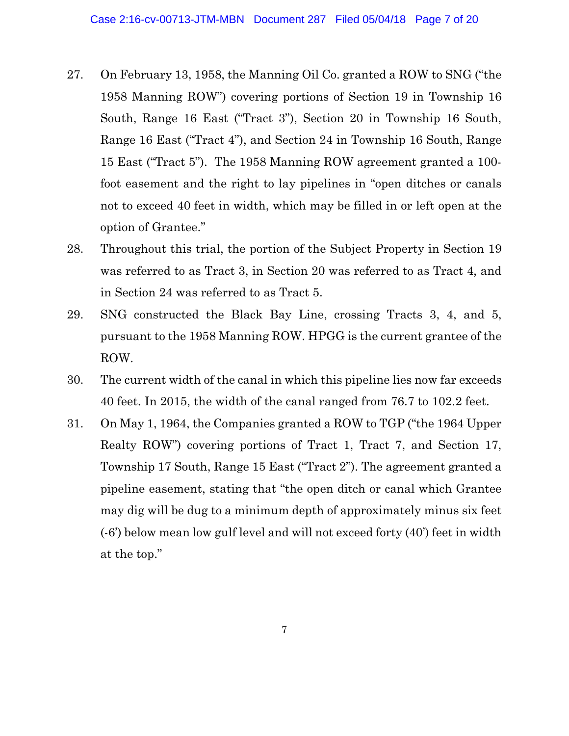- 27. On February 13, 1958, the Manning Oil Co. granted a ROW to SNG ("the 1958 Manning ROW") covering portions of Section 19 in Township 16 South, Range 16 East ("Tract 3"), Section 20 in Township 16 South, Range 16 East ("Tract 4"), and Section 24 in Township 16 South, Range 15 East ("Tract 5"). The 1958 Manning ROW agreement granted a 100 foot easement and the right to lay pipelines in "open ditches or canals not to exceed 40 feet in width, which may be filled in or left open at the option of Grantee."
- 28. Throughout this trial, the portion of the Subject Property in Section 19 was referred to as Tract 3, in Section 20 was referred to as Tract 4, and in Section 24 was referred to as Tract 5.
- 29. SNG constructed the Black Bay Line, crossing Tracts 3, 4, and 5, pursuant to the 1958 Manning ROW. HPGG is the current grantee of the ROW.
- 30. The current width of the canal in which this pipeline lies now far exceeds 40 feet. In 2015, the width of the canal ranged from 76.7 to 102.2 feet.
- 31. On May 1, 1964, the Companies granted a ROW to TGP ("the 1964 Upper Realty ROW") covering portions of Tract 1, Tract 7, and Section 17, Township 17 South, Range 15 East ("Tract 2"). The agreement granted a pipeline easement, stating that "the open ditch or canal which Grantee may dig will be dug to a minimum depth of approximately minus six feet (-6') below mean low gulf level and will not exceed forty (40') feet in width at the top."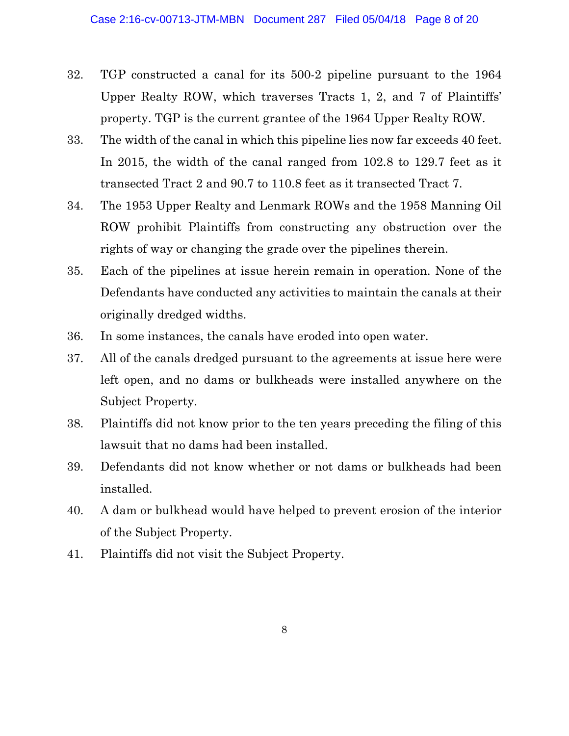- 32. TGP constructed a canal for its 500-2 pipeline pursuant to the 1964 Upper Realty ROW, which traverses Tracts 1, 2, and 7 of Plaintiffs' property. TGP is the current grantee of the 1964 Upper Realty ROW.
- 33. The width of the canal in which this pipeline lies now far exceeds 40 feet. In 2015, the width of the canal ranged from 102.8 to 129.7 feet as it transected Tract 2 and 90.7 to 110.8 feet as it transected Tract 7.
- 34. The 1953 Upper Realty and Lenmark ROWs and the 1958 Manning Oil ROW prohibit Plaintiffs from constructing any obstruction over the rights of way or changing the grade over the pipelines therein.
- 35. Each of the pipelines at issue herein remain in operation. None of the Defendants have conducted any activities to maintain the canals at their originally dredged widths.
- 36. In some instances, the canals have eroded into open water.
- 37. All of the canals dredged pursuant to the agreements at issue here were left open, and no dams or bulkheads were installed anywhere on the Subject Property.
- 38. Plaintiffs did not know prior to the ten years preceding the filing of this lawsuit that no dams had been installed.
- 39. Defendants did not know whether or not dams or bulkheads had been installed.
- 40. A dam or bulkhead would have helped to prevent erosion of the interior of the Subject Property.
- 41. Plaintiffs did not visit the Subject Property.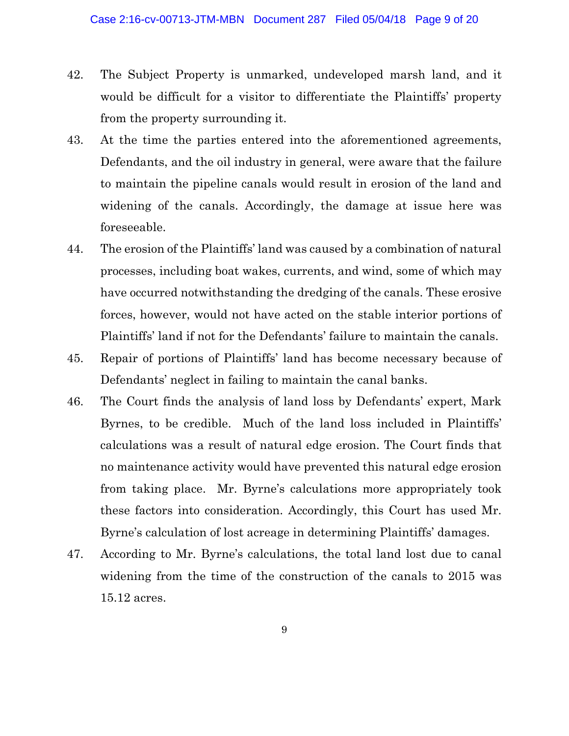- 42. The Subject Property is unmarked, undeveloped marsh land, and it would be difficult for a visitor to differentiate the Plaintiffs' property from the property surrounding it.
- 43. At the time the parties entered into the aforementioned agreements, Defendants, and the oil industry in general, were aware that the failure to maintain the pipeline canals would result in erosion of the land and widening of the canals. Accordingly, the damage at issue here was foreseeable.
- 44. The erosion of the Plaintiffs' land was caused by a combination of natural processes, including boat wakes, currents, and wind, some of which may have occurred notwithstanding the dredging of the canals. These erosive forces, however, would not have acted on the stable interior portions of Plaintiffs' land if not for the Defendants' failure to maintain the canals.
- 45. Repair of portions of Plaintiffs' land has become necessary because of Defendants' neglect in failing to maintain the canal banks.
- 46. The Court finds the analysis of land loss by Defendants' expert, Mark Byrnes, to be credible. Much of the land loss included in Plaintiffs' calculations was a result of natural edge erosion. The Court finds that no maintenance activity would have prevented this natural edge erosion from taking place. Mr. Byrne's calculations more appropriately took these factors into consideration. Accordingly, this Court has used Mr. Byrne's calculation of lost acreage in determining Plaintiffs' damages.
- 47. According to Mr. Byrne's calculations, the total land lost due to canal widening from the time of the construction of the canals to 2015 was 15.12 acres.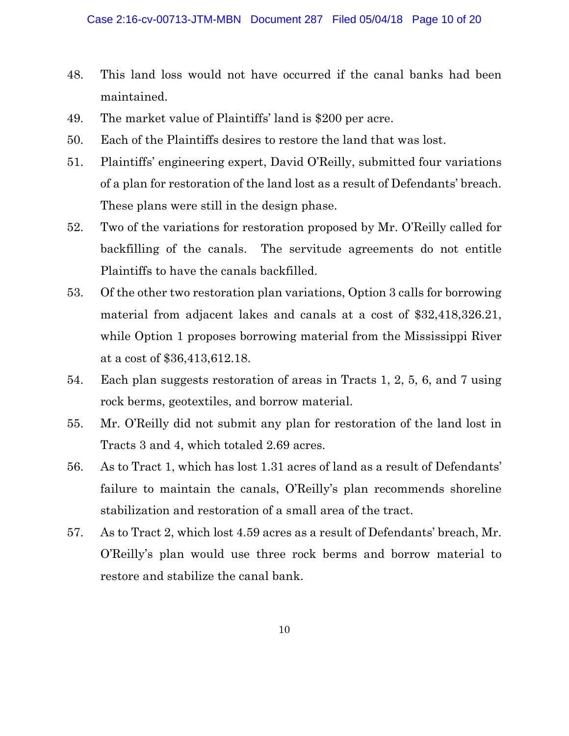- 48. This land loss would not have occurred if the canal banks had been maintained.
- 49. The market value of Plaintiffs' land is \$200 per acre.
- 50. Each of the Plaintiffs desires to restore the land that was lost.
- 51. Plaintiffs' engineering expert, David O'Reilly, submitted four variations of a plan for restoration of the land lost as a result of Defendants' breach. These plans were still in the design phase.
- 52. Two of the variations for restoration proposed by Mr. O'Reilly called for backfilling of the canals. The servitude agreements do not entitle Plaintiffs to have the canals backfilled.
- 53. Of the other two restoration plan variations, Option 3 calls for borrowing material from adjacent lakes and canals at a cost of \$32,418,326.21, while Option 1 proposes borrowing material from the Mississippi River at a cost of \$36,413,612.18.
- 54. Each plan suggests restoration of areas in Tracts 1, 2, 5, 6, and 7 using rock berms, geotextiles, and borrow material.
- 55. Mr. O'Reilly did not submit any plan for restoration of the land lost in Tracts 3 and 4, which totaled 2.69 acres.
- 56. As to Tract 1, which has lost 1.31 acres of land as a result of Defendants' failure to maintain the canals, O'Reilly's plan recommends shoreline stabilization and restoration of a small area of the tract.
- 57. As to Tract 2, which lost 4.59 acres as a result of Defendants' breach, Mr. O'Reilly's plan would use three rock berms and borrow material to restore and stabilize the canal bank.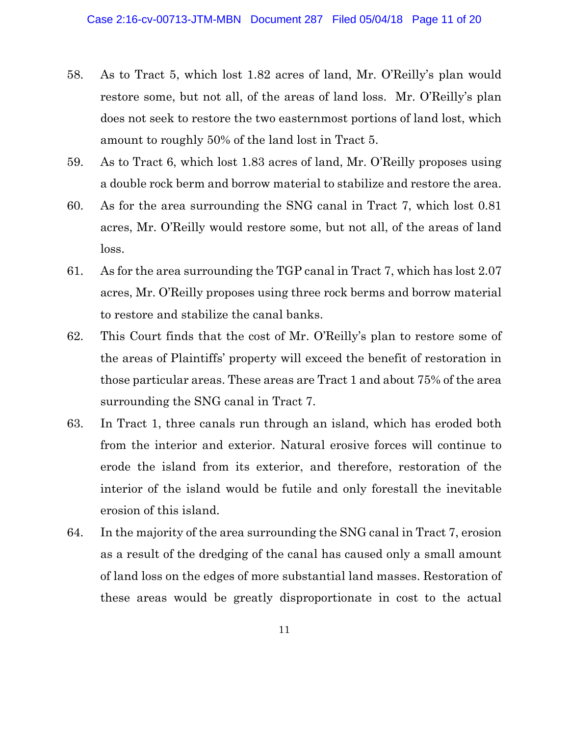- 58. As to Tract 5, which lost 1.82 acres of land, Mr. O'Reilly's plan would restore some, but not all, of the areas of land loss. Mr. O'Reilly's plan does not seek to restore the two easternmost portions of land lost, which amount to roughly 50% of the land lost in Tract 5.
- 59. As to Tract 6, which lost 1.83 acres of land, Mr. O'Reilly proposes using a double rock berm and borrow material to stabilize and restore the area.
- 60. As for the area surrounding the SNG canal in Tract 7, which lost 0.81 acres, Mr. O'Reilly would restore some, but not all, of the areas of land loss.
- 61. As for the area surrounding the TGP canal in Tract 7, which has lost 2.07 acres, Mr. O'Reilly proposes using three rock berms and borrow material to restore and stabilize the canal banks.
- 62. This Court finds that the cost of Mr. O'Reilly's plan to restore some of the areas of Plaintiffs' property will exceed the benefit of restoration in those particular areas. These areas are Tract 1 and about 75% of the area surrounding the SNG canal in Tract 7.
- 63. In Tract 1, three canals run through an island, which has eroded both from the interior and exterior. Natural erosive forces will continue to erode the island from its exterior, and therefore, restoration of the interior of the island would be futile and only forestall the inevitable erosion of this island.
- 64. In the majority of the area surrounding the SNG canal in Tract 7, erosion as a result of the dredging of the canal has caused only a small amount of land loss on the edges of more substantial land masses. Restoration of these areas would be greatly disproportionate in cost to the actual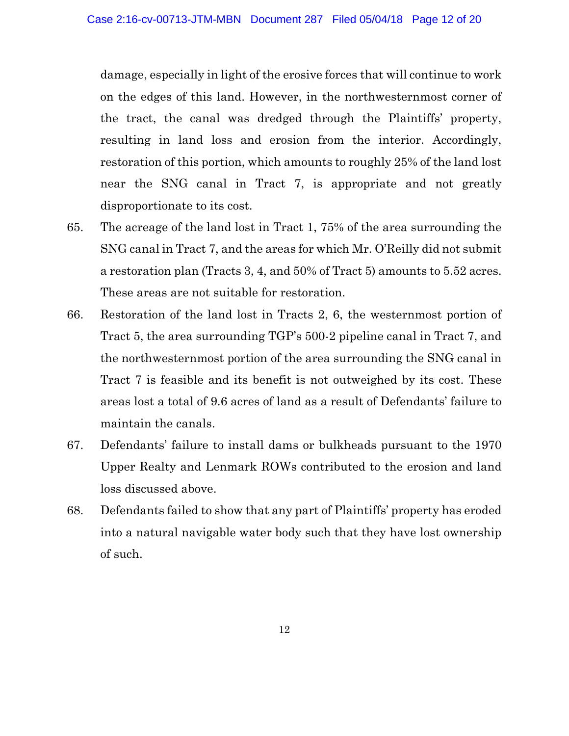damage, especially in light of the erosive forces that will continue to work on the edges of this land. However, in the northwesternmost corner of the tract, the canal was dredged through the Plaintiffs' property, resulting in land loss and erosion from the interior. Accordingly, restoration of this portion, which amounts to roughly 25% of the land lost near the SNG canal in Tract 7, is appropriate and not greatly disproportionate to its cost.

- 65. The acreage of the land lost in Tract 1, 75% of the area surrounding the SNG canal in Tract 7, and the areas for which Mr. O'Reilly did not submit a restoration plan (Tracts 3, 4, and 50% of Tract 5) amounts to 5.52 acres. These areas are not suitable for restoration.
- 66. Restoration of the land lost in Tracts 2, 6, the westernmost portion of Tract 5, the area surrounding TGP's 500-2 pipeline canal in Tract 7, and the northwesternmost portion of the area surrounding the SNG canal in Tract 7 is feasible and its benefit is not outweighed by its cost. These areas lost a total of 9.6 acres of land as a result of Defendants' failure to maintain the canals.
- 67. Defendants' failure to install dams or bulkheads pursuant to the 1970 Upper Realty and Lenmark ROWs contributed to the erosion and land loss discussed above.
- 68. Defendants failed to show that any part of Plaintiffs' property has eroded into a natural navigable water body such that they have lost ownership of such.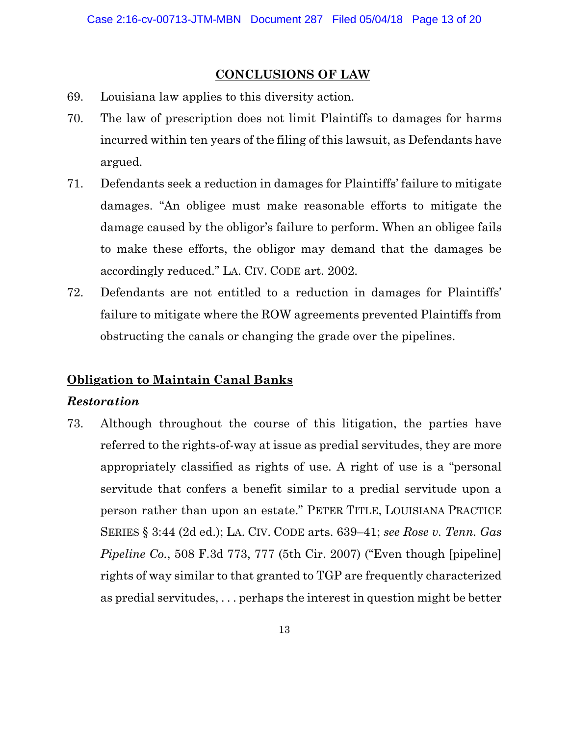# **CONCLUSIONS OF LAW**

- 69. Louisiana law applies to this diversity action.
- 70. The law of prescription does not limit Plaintiffs to damages for harms incurred within ten years of the filing of this lawsuit, as Defendants have argued.
- 71. Defendants seek a reduction in damages for Plaintiffs' failure to mitigate damages. "An obligee must make reasonable efforts to mitigate the damage caused by the obligor's failure to perform. When an obligee fails to make these efforts, the obligor may demand that the damages be accordingly reduced." LA. CIV. CODE art. 2002.
- 72. Defendants are not entitled to a reduction in damages for Plaintiffs' failure to mitigate where the ROW agreements prevented Plaintiffs from obstructing the canals or changing the grade over the pipelines.

# **Obligation to Maintain Canal Banks**

## *Restoration*

73. Although throughout the course of this litigation, the parties have referred to the rights-of-way at issue as predial servitudes, they are more appropriately classified as rights of use. A right of use is a "personal servitude that confers a benefit similar to a predial servitude upon a person rather than upon an estate." PETER TITLE, LOUISIANA PRACTICE SERIES § 3:44 (2d ed.); LA. CIV. CODE arts. 639–41; *see Rose v. Tenn. Gas Pipeline Co.*, 508 F.3d 773, 777 (5th Cir. 2007) ("Even though [pipeline] rights of way similar to that granted to TGP are frequently characterized as predial servitudes, . . . perhaps the interest in question might be better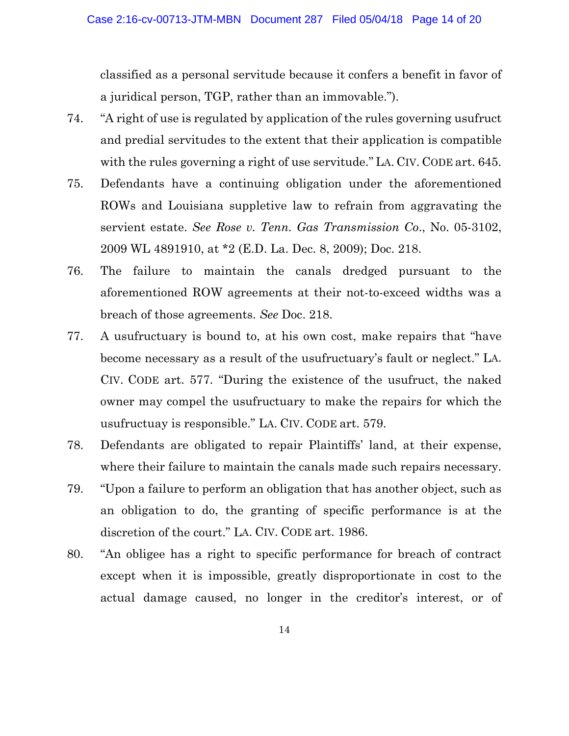classified as a personal servitude because it confers a benefit in favor of a juridical person, TGP, rather than an immovable.").

- 74. "A right of use is regulated by application of the rules governing usufruct and predial servitudes to the extent that their application is compatible with the rules governing a right of use servitude." LA. CIV. CODE art. 645.
- 75. Defendants have a continuing obligation under the aforementioned ROWs and Louisiana suppletive law to refrain from aggravating the servient estate. *See Rose v. Tenn. Gas Transmission Co*., No. 05-3102, 2009 WL 4891910, at \*2 (E.D. La. Dec. 8, 2009); Doc. 218.
- 76. The failure to maintain the canals dredged pursuant to the aforementioned ROW agreements at their not-to-exceed widths was a breach of those agreements. *See* Doc. 218.
- 77. A usufructuary is bound to, at his own cost, make repairs that "have become necessary as a result of the usufructuary's fault or neglect." LA. CIV. CODE art. 577. "During the existence of the usufruct, the naked owner may compel the usufructuary to make the repairs for which the usufructuay is responsible." LA. CIV. CODE art. 579.
- 78. Defendants are obligated to repair Plaintiffs' land, at their expense, where their failure to maintain the canals made such repairs necessary.
- 79. "Upon a failure to perform an obligation that has another object, such as an obligation to do, the granting of specific performance is at the discretion of the court." LA. CIV. CODE art. 1986.
- 80. "An obligee has a right to specific performance for breach of contract except when it is impossible, greatly disproportionate in cost to the actual damage caused, no longer in the creditor's interest, or of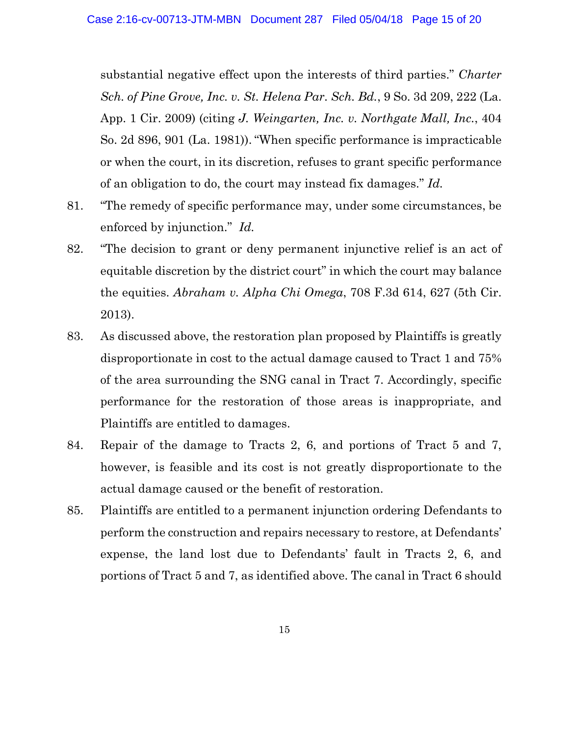substantial negative effect upon the interests of third parties." *Charter Sch. of Pine Grove, Inc. v. St. Helena Par. Sch. Bd.*, 9 So. 3d 209, 222 (La. App. 1 Cir. 2009) (citing *J. Weingarten, Inc. v. Northgate Mall, Inc.*, 404 So. 2d 896, 901 (La. 1981)). "When specific performance is impracticable or when the court, in its discretion, refuses to grant specific performance of an obligation to do, the court may instead fix damages." *Id.*

- 81. "The remedy of specific performance may, under some circumstances, be enforced by injunction." *Id.*
- 82. "The decision to grant or deny permanent injunctive relief is an act of equitable discretion by the district court" in which the court may balance the equities. *Abraham v. Alpha Chi Omega*, 708 F.3d 614, 627 (5th Cir. 2013).
- 83. As discussed above, the restoration plan proposed by Plaintiffs is greatly disproportionate in cost to the actual damage caused to Tract 1 and 75% of the area surrounding the SNG canal in Tract 7. Accordingly, specific performance for the restoration of those areas is inappropriate, and Plaintiffs are entitled to damages.
- 84. Repair of the damage to Tracts 2, 6, and portions of Tract 5 and 7, however, is feasible and its cost is not greatly disproportionate to the actual damage caused or the benefit of restoration.
- 85. Plaintiffs are entitled to a permanent injunction ordering Defendants to perform the construction and repairs necessary to restore, at Defendants' expense, the land lost due to Defendants' fault in Tracts 2, 6, and portions of Tract 5 and 7, as identified above. The canal in Tract 6 should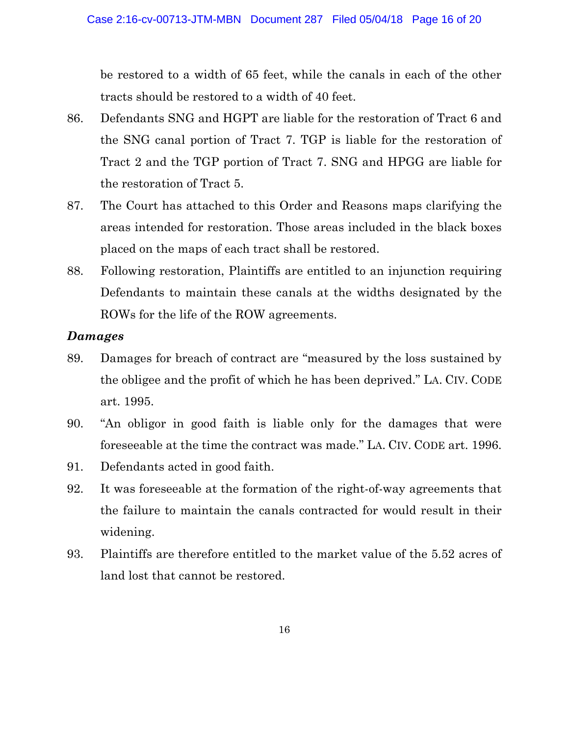be restored to a width of 65 feet, while the canals in each of the other tracts should be restored to a width of 40 feet.

- 86. Defendants SNG and HGPT are liable for the restoration of Tract 6 and the SNG canal portion of Tract 7. TGP is liable for the restoration of Tract 2 and the TGP portion of Tract 7. SNG and HPGG are liable for the restoration of Tract 5.
- 87. The Court has attached to this Order and Reasons maps clarifying the areas intended for restoration. Those areas included in the black boxes placed on the maps of each tract shall be restored.
- 88. Following restoration, Plaintiffs are entitled to an injunction requiring Defendants to maintain these canals at the widths designated by the ROWs for the life of the ROW agreements.

# *Damages*

- 89. Damages for breach of contract are "measured by the loss sustained by the obligee and the profit of which he has been deprived." LA. CIV. CODE art. 1995.
- 90. "An obligor in good faith is liable only for the damages that were foreseeable at the time the contract was made." LA. CIV. CODE art. 1996.
- 91. Defendants acted in good faith.
- 92. It was foreseeable at the formation of the right-of-way agreements that the failure to maintain the canals contracted for would result in their widening.
- 93. Plaintiffs are therefore entitled to the market value of the 5.52 acres of land lost that cannot be restored.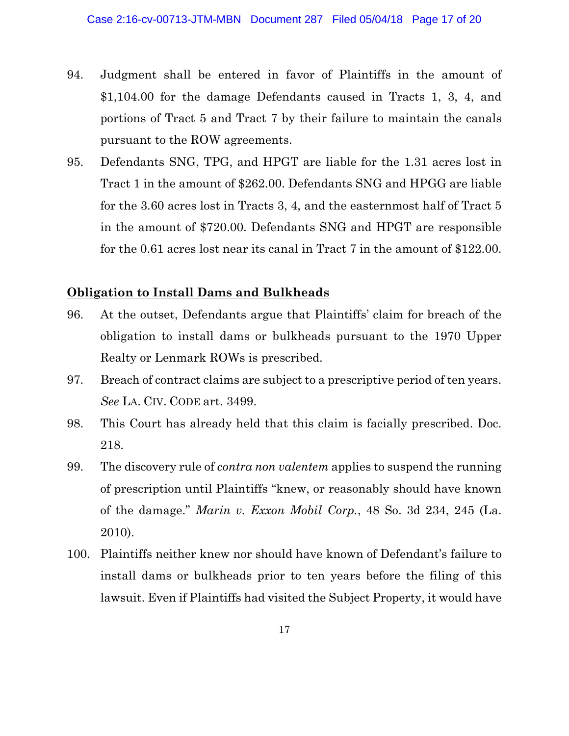- 94. Judgment shall be entered in favor of Plaintiffs in the amount of \$1,104.00 for the damage Defendants caused in Tracts 1, 3, 4, and portions of Tract 5 and Tract 7 by their failure to maintain the canals pursuant to the ROW agreements.
- 95. Defendants SNG, TPG, and HPGT are liable for the 1.31 acres lost in Tract 1 in the amount of \$262.00. Defendants SNG and HPGG are liable for the 3.60 acres lost in Tracts 3, 4, and the easternmost half of Tract 5 in the amount of \$720.00. Defendants SNG and HPGT are responsible for the 0.61 acres lost near its canal in Tract 7 in the amount of \$122.00.

# **Obligation to Install Dams and Bulkheads**

- 96. At the outset, Defendants argue that Plaintiffs' claim for breach of the obligation to install dams or bulkheads pursuant to the 1970 Upper Realty or Lenmark ROWs is prescribed.
- 97. Breach of contract claims are subject to a prescriptive period of ten years. *See* LA. CIV. CODE art. 3499.
- 98. This Court has already held that this claim is facially prescribed. Doc. 218.
- 99. The discovery rule of *contra non valentem* applies to suspend the running of prescription until Plaintiffs "knew, or reasonably should have known of the damage." *Marin v. Exxon Mobil Corp.*, 48 So. 3d 234, 245 (La. 2010).
- 100. Plaintiffs neither knew nor should have known of Defendant's failure to install dams or bulkheads prior to ten years before the filing of this lawsuit. Even if Plaintiffs had visited the Subject Property, it would have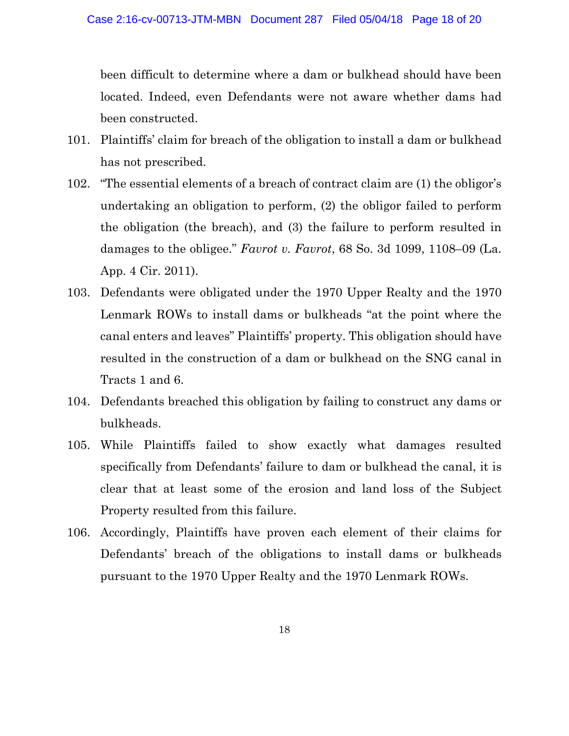been difficult to determine where a dam or bulkhead should have been located. Indeed, even Defendants were not aware whether dams had been constructed.

- 101. Plaintiffs' claim for breach of the obligation to install a dam or bulkhead has not prescribed.
- 102. "The essential elements of a breach of contract claim are (1) the obligor's undertaking an obligation to perform, (2) the obligor failed to perform the obligation (the breach), and (3) the failure to perform resulted in damages to the obligee." *Favrot v. Favrot*, 68 So. 3d 1099, 1108–09 (La. App. 4 Cir. 2011).
- 103. Defendants were obligated under the 1970 Upper Realty and the 1970 Lenmark ROWs to install dams or bulkheads "at the point where the canal enters and leaves" Plaintiffs' property. This obligation should have resulted in the construction of a dam or bulkhead on the SNG canal in Tracts 1 and 6.
- 104. Defendants breached this obligation by failing to construct any dams or bulkheads.
- 105. While Plaintiffs failed to show exactly what damages resulted specifically from Defendants' failure to dam or bulkhead the canal, it is clear that at least some of the erosion and land loss of the Subject Property resulted from this failure.
- 106. Accordingly, Plaintiffs have proven each element of their claims for Defendants' breach of the obligations to install dams or bulkheads pursuant to the 1970 Upper Realty and the 1970 Lenmark ROWs.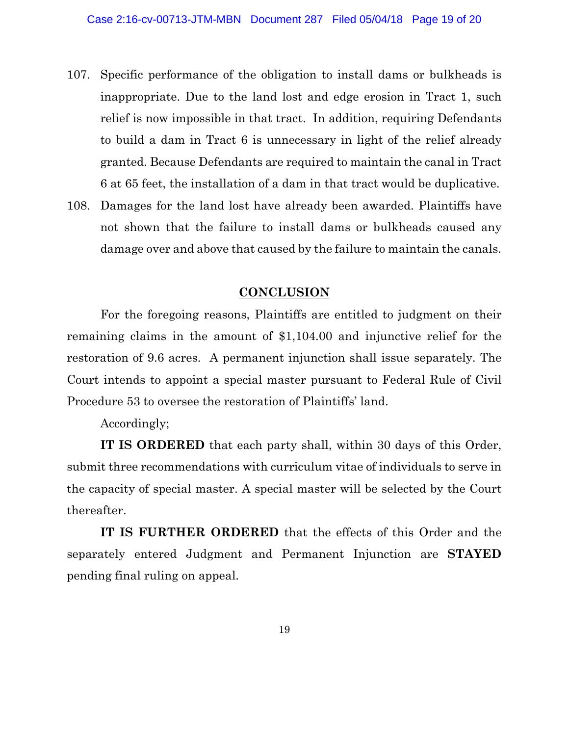- 107. Specific performance of the obligation to install dams or bulkheads is inappropriate. Due to the land lost and edge erosion in Tract 1, such relief is now impossible in that tract. In addition, requiring Defendants to build a dam in Tract 6 is unnecessary in light of the relief already granted. Because Defendants are required to maintain the canal in Tract 6 at 65 feet, the installation of a dam in that tract would be duplicative.
- 108. Damages for the land lost have already been awarded. Plaintiffs have not shown that the failure to install dams or bulkheads caused any damage over and above that caused by the failure to maintain the canals.

### **CONCLUSION**

For the foregoing reasons, Plaintiffs are entitled to judgment on their remaining claims in the amount of \$1,104.00 and injunctive relief for the restoration of 9.6 acres. A permanent injunction shall issue separately. The Court intends to appoint a special master pursuant to Federal Rule of Civil Procedure 53 to oversee the restoration of Plaintiffs' land.

Accordingly;

**IT IS ORDERED** that each party shall, within 30 days of this Order, submit three recommendations with curriculum vitae of individuals to serve in the capacity of special master. A special master will be selected by the Court thereafter.

**IT IS FURTHER ORDERED** that the effects of this Order and the separately entered Judgment and Permanent Injunction are **STAYED** pending final ruling on appeal.